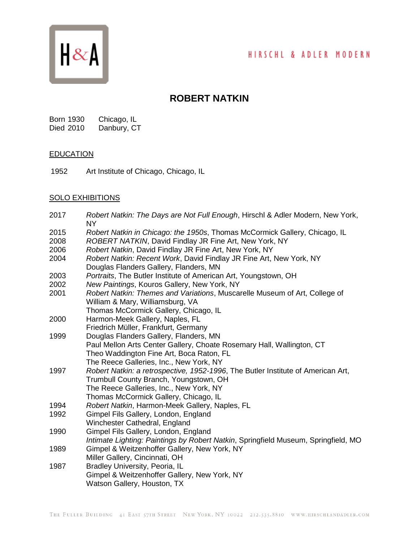## HIRSCHL & ADLER MODERN



# **ROBERT NATKIN**

Born 1930 Chicago, IL Died 2010 Danbury, CT

#### **EDUCATION**

1952 Art Institute of Chicago, Chicago, IL

### SOLO EXHIBITIONS

| 2017 | Robert Natkin: The Days are Not Full Enough, Hirschl & Adler Modern, New York,<br><b>NY</b> |
|------|---------------------------------------------------------------------------------------------|
| 2015 | Robert Natkin in Chicago: the 1950s, Thomas McCormick Gallery, Chicago, IL                  |
| 2008 | ROBERT NATKIN, David Findlay JR Fine Art, New York, NY                                      |
| 2006 | Robert Natkin, David Findlay JR Fine Art, New York, NY                                      |
| 2004 | Robert Natkin: Recent Work, David Findlay JR Fine Art, New York, NY                         |
|      | Douglas Flanders Gallery, Flanders, MN                                                      |
| 2003 | Portraits, The Butler Institute of American Art, Youngstown, OH                             |
| 2002 | New Paintings, Kouros Gallery, New York, NY                                                 |
| 2001 | Robert Natkin: Themes and Variations, Muscarelle Museum of Art, College of                  |
|      | William & Mary, Williamsburg, VA                                                            |
|      | Thomas McCormick Gallery, Chicago, IL                                                       |
| 2000 | Harmon-Meek Gallery, Naples, FL                                                             |
|      | Friedrich Müller, Frankfurt, Germany                                                        |
| 1999 | Douglas Flanders Gallery, Flanders, MN                                                      |
|      | Paul Mellon Arts Center Gallery, Choate Rosemary Hall, Wallington, CT                       |
|      | Theo Waddington Fine Art, Boca Raton, FL                                                    |
|      | The Reece Galleries, Inc., New York, NY                                                     |
| 1997 | Robert Natkin: a retrospective, 1952-1996, The Butler Institute of American Art,            |
|      | Trumbull County Branch, Youngstown, OH                                                      |
|      | The Reece Galleries, Inc., New York, NY                                                     |
|      | Thomas McCormick Gallery, Chicago, IL                                                       |
| 1994 | Robert Natkin, Harmon-Meek Gallery, Naples, FL                                              |
| 1992 | Gimpel Fils Gallery, London, England                                                        |
|      | Winchester Cathedral, England                                                               |
| 1990 | Gimpel Fils Gallery, London, England                                                        |
|      | Intimate Lighting: Paintings by Robert Natkin, Springfield Museum, Springfield, MO          |
| 1989 | Gimpel & Weitzenhoffer Gallery, New York, NY                                                |
|      | Miller Gallery, Cincinnati, OH                                                              |
| 1987 | Bradley University, Peoria, IL                                                              |
|      | Gimpel & Weitzenhoffer Gallery, New York, NY                                                |
|      | Watson Gallery, Houston, TX                                                                 |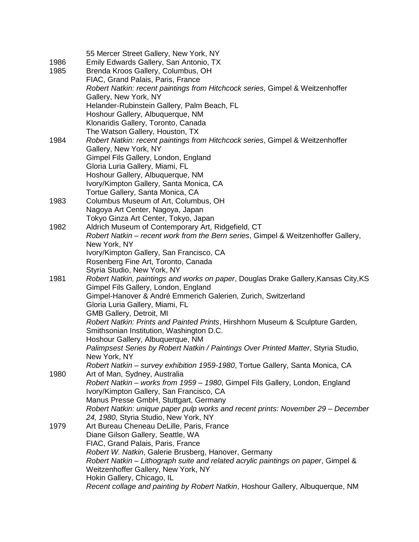|      | 55 Mercer Street Gallery, New York, NY                                              |
|------|-------------------------------------------------------------------------------------|
| 1986 | Emily Edwards Gallery, San Antonio, TX                                              |
| 1985 | Brenda Kroos Gallery, Columbus, OH                                                  |
|      | FIAC, Grand Palais, Paris, France                                                   |
|      | Robert Natkin: recent paintings from Hitchcock series, Gimpel & Weitzenhoffer       |
|      | Gallery, New York, NY                                                               |
|      | Helander-Rubinstein Gallery, Palm Beach, FL                                         |
|      | Hoshour Gallery, Albuquerque, NM                                                    |
|      | Klonaridis Gallery, Toronto, Canada                                                 |
|      | The Watson Gallery, Houston, TX                                                     |
| 1984 | Robert Natkin: recent paintings from Hitchcock series, Gimpel & Weitzenhoffer       |
|      | Gallery, New York, NY                                                               |
|      | Gimpel Fils Gallery, London, England                                                |
|      | Gloria Luria Gallery, Miami, FL                                                     |
|      | Hoshour Gallery, Albuquerque, NM                                                    |
|      | Ivory/Kimpton Gallery, Santa Monica, CA                                             |
|      | Tortue Gallery, Santa Monica, CA                                                    |
| 1983 | Columbus Museum of Art, Columbus, OH                                                |
|      | Nagoya Art Center, Nagoya, Japan                                                    |
|      | Tokyo Ginza Art Center, Tokyo, Japan                                                |
| 1982 | Aldrich Museum of Contemporary Art, Ridgefield, CT                                  |
|      | Robert Natkin – recent work from the Bern series, Gimpel & Weitzenhoffer Gallery,   |
|      | New York, NY                                                                        |
|      | Ivory/Kimpton Gallery, San Francisco, CA                                            |
|      | Rosenberg Fine Art, Toronto, Canada                                                 |
|      | Styria Studio, New York, NY                                                         |
| 1981 | Robert Natkin, paintings and works on paper, Douglas Drake Gallery, Kansas City, KS |
|      | Gimpel Fils Gallery, London, England                                                |
|      | Gimpel-Hanover & André Emmerich Galerien, Zurich, Switzerland                       |
|      | Gloria Luria Gallery, Miami, FL                                                     |
|      | <b>GMB Gallery, Detroit, MI</b>                                                     |
|      | Robert Natkin: Prints and Painted Prints, Hirshhorn Museum & Sculpture Garden,      |
|      | Smithsonian Institution, Washington D.C.                                            |
|      | Hoshour Gallery, Albuquerque, NM                                                    |
|      | Palimpsest Series by Robert Natkin / Paintings Over Printed Matter, Styria Studio,  |
|      | New York, NY                                                                        |
|      | Robert Natkin - survey exhibition 1959-1980, Tortue Gallery, Santa Monica, CA       |
| 1980 | Art of Man, Sydney, Australia                                                       |
|      | Robert Natkin - works from 1959 - 1980, Gimpel Fils Gallery, London, England        |
|      | Ivory/Kimpton Gallery, San Francisco, CA                                            |
|      | Manus Presse GmbH, Stuttgart, Germany                                               |
|      | Robert Natkin: unique paper pulp works and recent prints: November 29 – December    |
|      | 24, 1980, Styria Studio, New York, NY                                               |
| 1979 | Art Bureau Cheneau DeLille, Paris, France                                           |
|      | Diane Gilson Gallery, Seattle, WA                                                   |
|      | FIAC, Grand Palais, Paris, France                                                   |
|      | Robert W. Natkin, Galerie Brusberg, Hanover, Germany                                |
|      | Robert Natkin - Lithograph suite and related acrylic paintings on paper, Gimpel &   |
|      | Weitzenhoffer Gallery, New York, NY                                                 |
|      | Hokin Gallery, Chicago, IL                                                          |
|      | Recent collage and painting by Robert Natkin, Hoshour Gallery, Albuquerque, NM      |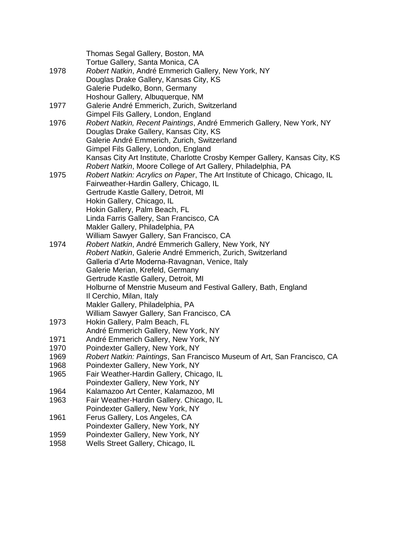|      | Thomas Segal Gallery, Boston, MA                                                                                  |
|------|-------------------------------------------------------------------------------------------------------------------|
|      | Tortue Gallery, Santa Monica, CA                                                                                  |
| 1978 | Robert Natkin, André Emmerich Gallery, New York, NY                                                               |
|      | Douglas Drake Gallery, Kansas City, KS                                                                            |
|      | Galerie Pudelko, Bonn, Germany                                                                                    |
|      | Hoshour Gallery, Albuquerque, NM                                                                                  |
| 1977 | Galerie André Emmerich, Zurich, Switzerland                                                                       |
|      | Gimpel Fils Gallery, London, England                                                                              |
| 1976 | Robert Natkin, Recent Paintings, André Emmerich Gallery, New York, NY                                             |
|      | Douglas Drake Gallery, Kansas City, KS                                                                            |
|      | Galerie André Emmerich, Zurich, Switzerland                                                                       |
|      | Gimpel Fils Gallery, London, England                                                                              |
|      | Kansas City Art Institute, Charlotte Crosby Kemper Gallery, Kansas City, KS                                       |
|      | Robert Natkin, Moore College of Art Gallery, Philadelphia, PA                                                     |
| 1975 | Robert Natkin: Acrylics on Paper, The Art Institute of Chicago, Chicago, IL                                       |
|      | Fairweather-Hardin Gallery, Chicago, IL                                                                           |
|      | Gertrude Kastle Gallery, Detroit, MI                                                                              |
|      | Hokin Gallery, Chicago, IL                                                                                        |
|      | Hokin Gallery, Palm Beach, FL                                                                                     |
|      | Linda Farris Gallery, San Francisco, CA                                                                           |
|      | Makler Gallery, Philadelphia, PA                                                                                  |
|      | William Sawyer Gallery, San Francisco, CA                                                                         |
| 1974 | Robert Natkin, André Emmerich Gallery, New York, NY<br>Robert Natkin, Galerie André Emmerich, Zurich, Switzerland |
|      | Galleria d'Arte Moderna-Ravagnan, Venice, Italy                                                                   |
|      | Galerie Merian, Krefeld, Germany                                                                                  |
|      | Gertrude Kastle Gallery, Detroit, MI                                                                              |
|      | Holburne of Menstrie Museum and Festival Gallery, Bath, England                                                   |
|      | Il Cerchio, Milan, Italy                                                                                          |
|      | Makler Gallery, Philadelphia, PA                                                                                  |
|      | William Sawyer Gallery, San Francisco, CA                                                                         |
| 1973 | Hokin Gallery, Palm Beach, FL                                                                                     |
|      | André Emmerich Gallery, New York, NY                                                                              |
| 1971 | André Emmerich Gallery, New York, NY                                                                              |
| 1970 | Poindexter Gallery, New York, NY                                                                                  |
| 1969 | Robert Natkin: Paintings, San Francisco Museum of Art, San Francisco, CA                                          |
| 1968 | Poindexter Gallery, New York, NY                                                                                  |
| 1965 | Fair Weather-Hardin Gallery, Chicago, IL                                                                          |
|      | Poindexter Gallery, New York, NY                                                                                  |
| 1964 | Kalamazoo Art Center, Kalamazoo, MI                                                                               |
| 1963 | Fair Weather-Hardin Gallery. Chicago, IL                                                                          |
|      | Poindexter Gallery, New York, NY                                                                                  |
| 1961 | Ferus Gallery, Los Angeles, CA                                                                                    |
|      | Poindexter Gallery, New York, NY                                                                                  |
| 1959 | Poindexter Gallery, New York, NY                                                                                  |
| 1958 | Wells Street Gallery, Chicago, IL                                                                                 |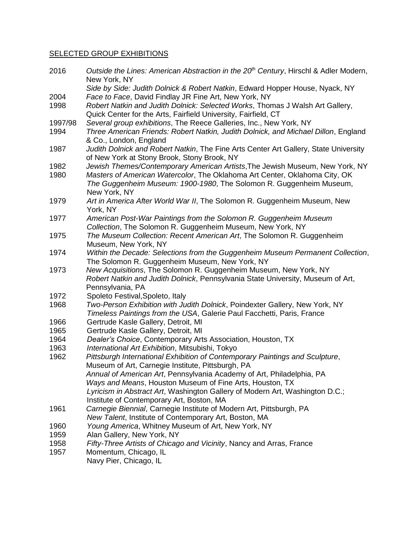### SELECTED GROUP EXHIBITIONS

| 2016    | Outside the Lines: American Abstraction in the 20 <sup>th</sup> Century, Hirschl & Adler Modern,<br>New York, NY                                      |
|---------|-------------------------------------------------------------------------------------------------------------------------------------------------------|
|         | Side by Side: Judith Dolnick & Robert Natkin, Edward Hopper House, Nyack, NY                                                                          |
| 2004    | Face to Face, David Findlay JR Fine Art, New York, NY                                                                                                 |
| 1998    | Robert Natkin and Judith Dolnick: Selected Works, Thomas J Walsh Art Gallery,                                                                         |
|         | Quick Center for the Arts, Fairfield University, Fairfield, CT                                                                                        |
| 1997/98 | Several group exhibitions, The Reece Galleries, Inc., New York, NY                                                                                    |
| 1994    | Three American Friends: Robert Natkin, Judith Dolnick, and Michael Dillon, England<br>& Co., London, England                                          |
| 1987    | Judith Dolnick and Robert Natkin, The Fine Arts Center Art Gallery, State University                                                                  |
|         | of New York at Stony Brook, Stony Brook, NY                                                                                                           |
| 1982    | Jewish Themes/Contemporary American Artists, The Jewish Museum, New York, NY                                                                          |
| 1980    | Masters of American Watercolor, The Oklahoma Art Center, Oklahoma City, OK                                                                            |
|         | The Guggenheim Museum: 1900-1980, The Solomon R. Guggenheim Museum,                                                                                   |
|         | New York, NY                                                                                                                                          |
| 1979    | Art in America After World War II, The Solomon R. Guggenheim Museum, New<br>York, NY                                                                  |
| 1977    | American Post-War Paintings from the Solomon R. Guggenheim Museum                                                                                     |
|         | Collection, The Solomon R. Guggenheim Museum, New York, NY                                                                                            |
| 1975    | The Museum Collection: Recent American Art, The Solomon R. Guggenheim                                                                                 |
|         | Museum, New York, NY                                                                                                                                  |
| 1974    | Within the Decade: Selections from the Guggenheim Museum Permanent Collection,                                                                        |
|         | The Solomon R. Guggenheim Museum, New York, NY                                                                                                        |
| 1973    | New Acquisitions, The Solomon R. Guggenheim Museum, New York, NY                                                                                      |
|         | Robert Natkin and Judith Dolnick, Pennsylvania State University, Museum of Art,                                                                       |
|         | Pennsylvania, PA                                                                                                                                      |
| 1972    | Spoleto Festival, Spoleto, Italy                                                                                                                      |
| 1968    | Two-Person Exhibition with Judith Dolnick, Poindexter Gallery, New York, NY<br>Timeless Paintings from the USA, Galerie Paul Facchetti, Paris, France |
| 1966    | Gertrude Kasle Gallery, Detroit, MI                                                                                                                   |
| 1965    | Gertrude Kasle Gallery, Detroit, MI                                                                                                                   |
| 1964    | Dealer's Choice, Contemporary Arts Association, Houston, TX                                                                                           |
| 1963    | International Art Exhibition, Mitsubishi, Tokyo                                                                                                       |
| 1962    | Pittsburgh International Exhibition of Contemporary Paintings and Sculpture,                                                                          |
|         | Museum of Art, Carnegie Institute, Pittsburgh, PA                                                                                                     |
|         | Annual of American Art, Pennsylvania Academy of Art, Philadelphia, PA                                                                                 |
|         | Ways and Means, Houston Museum of Fine Arts, Houston, TX                                                                                              |
|         | Lyricism in Abstract Art, Washington Gallery of Modern Art, Washington D.C.;                                                                          |
|         | Institute of Contemporary Art, Boston, MA                                                                                                             |
| 1961    | Carnegie Biennial, Carnegie Institute of Modern Art, Pittsburgh, PA                                                                                   |
|         | New Talent, Institute of Contemporary Art, Boston, MA                                                                                                 |
| 1960    | Young America, Whitney Museum of Art, New York, NY                                                                                                    |
| 1959    | Alan Gallery, New York, NY                                                                                                                            |
| 1958    | Fifty-Three Artists of Chicago and Vicinity, Nancy and Arras, France                                                                                  |
| 1957    | Momentum, Chicago, IL                                                                                                                                 |
|         |                                                                                                                                                       |

Navy Pier, Chicago, IL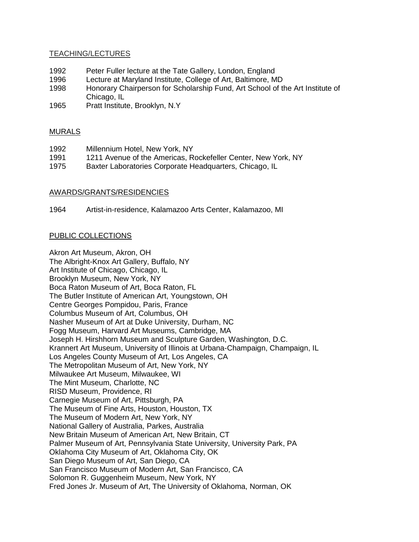#### TEACHING/LECTURES

- 1992 Peter Fuller lecture at the Tate Gallery, London, England
- 1996 Lecture at Maryland Institute, College of Art, Baltimore, MD
- 1998 Honorary Chairperson for Scholarship Fund, Art School of the Art Institute of Chicago, IL
- 1965 Pratt Institute, Brooklyn, N.Y

#### MURALS

| 1992 | Millennium Hotel, New York, NY                                |
|------|---------------------------------------------------------------|
| 1991 | 1211 Avenue of the Americas, Rockefeller Center, New York, NY |
| 1975 | Baxter Laboratories Corporate Headquarters, Chicago, IL       |

#### AWARDS/GRANTS/RESIDENCIES

1964 Artist-in-residence, Kalamazoo Arts Center, Kalamazoo, MI

#### PUBLIC COLLECTIONS

Akron Art Museum, Akron, OH The Albright-Knox Art Gallery, Buffalo, NY Art Institute of Chicago, Chicago, IL Brooklyn Museum, New York, NY Boca Raton Museum of Art, Boca Raton, FL The Butler Institute of American Art, Youngstown, OH Centre Georges Pompidou, Paris, France Columbus Museum of Art, Columbus, OH Nasher Museum of Art at Duke University, Durham, NC Fogg Museum, Harvard Art Museums, Cambridge, MA Joseph H. Hirshhorn Museum and Sculpture Garden, Washington, D.C. Krannert Art Museum, University of Illinois at Urbana-Champaign, Champaign, IL Los Angeles County Museum of Art, Los Angeles, CA The Metropolitan Museum of Art, New York, NY Milwaukee Art Museum, Milwaukee, WI The Mint Museum, Charlotte, NC RISD Museum, Providence, RI Carnegie Museum of Art, Pittsburgh, PA The Museum of Fine Arts, Houston, Houston, TX The Museum of Modern Art, New York, NY National Gallery of Australia, Parkes, Australia New Britain Museum of American Art, New Britain, CT Palmer Museum of Art, Pennsylvania State University, University Park, PA Oklahoma City Museum of Art, Oklahoma City, OK San Diego Museum of Art, San Diego, CA San Francisco Museum of Modern Art, San Francisco, CA Solomon R. Guggenheim Museum, New York, NY Fred Jones Jr. Museum of Art, The University of Oklahoma, Norman, OK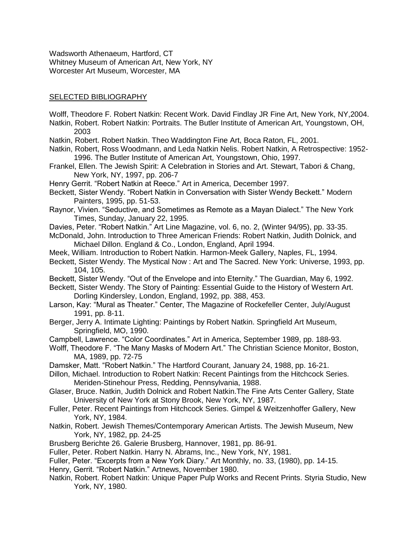Wadsworth Athenaeum, Hartford, CT Whitney Museum of American Art, New York, NY Worcester Art Museum, Worcester, MA

#### SELECTED BIBLIOGRAPHY

- Wolff, Theodore F. Robert Natkin: Recent Work. David Findlay JR Fine Art, New York, NY,2004.
- Natkin, Robert. Robert Natkin: Portraits. The Butler Institute of American Art, Youngstown, OH, 2003
- Natkin, Robert. Robert Natkin. Theo Waddington Fine Art, Boca Raton, FL, 2001.
- Natkin, Robert, Ross Woodmann, and Leda Natkin Nelis. Robert Natkin, A Retrospective: 1952- 1996. The Butler Institute of American Art, Youngstown, Ohio, 1997.
- Frankel, Ellen. The Jewish Spirit: A Celebration in Stories and Art. Stewart, Tabori & Chang, New York, NY, 1997, pp. 206-7
- Henry Gerrit. "Robert Natkin at Reece." Art in America, December 1997.
- Beckett, Sister Wendy. "Robert Natkin in Conversation with Sister Wendy Beckett." Modern Painters, 1995, pp. 51-53.
- Raynor, Vivien. "Seductive, and Sometimes as Remote as a Mayan Dialect." The New York Times, Sunday, January 22, 1995.
- Davies, Peter. "Robert Natkin." Art Line Magazine, vol. 6, no. 2, (Winter 94/95), pp. 33-35.
- McDonald, John. Introduction to Three American Friends: Robert Natkin, Judith Dolnick, and Michael Dillon. England & Co., London, England, April 1994.
- Meek, William. Introduction to Robert Natkin. Harmon-Meek Gallery, Naples, FL, 1994.
- Beckett, Sister Wendy. The Mystical Now : Art and The Sacred. New York: Universe, 1993, pp. 104, 105.
- Beckett, Sister Wendy. "Out of the Envelope and into Eternity." The Guardian, May 6, 1992.
- Beckett, Sister Wendy. The Story of Painting: Essential Guide to the History of Western Art. Dorling Kindersley, London, England, 1992, pp. 388, 453.
- Larson, Kay: "Mural as Theater." Center, The Magazine of Rockefeller Center, July/August 1991, pp. 8-11.
- Berger, Jerry A. Intimate Lighting: Paintings by Robert Natkin. Springfield Art Museum, Springfield, MO, 1990.
- Campbell, Lawrence. "Color Coordinates." Art in America, September 1989, pp. 188-93.
- Wolff, Theodore F. "The Many Masks of Modern Art." The Christian Science Monitor, Boston, MA, 1989, pp. 72-75
- Damsker, Matt. "Robert Natkin." The Hartford Courant, January 24, 1988, pp. 16-21.
- Dillon, Michael. Introduction to Robert Natkin: Recent Paintings from the Hitchcock Series. Meriden-Stinehour Press, Redding, Pennsylvania, 1988.
- Glaser, Bruce. Natkin, Judith Dolnick and Robert Natkin.The Fine Arts Center Gallery, State University of New York at Stony Brook, New York, NY, 1987.
- Fuller, Peter. Recent Paintings from Hitchcock Series. Gimpel & Weitzenhoffer Gallery, New York, NY, 1984.
- Natkin, Robert. Jewish Themes/Contemporary American Artists. The Jewish Museum, New York, NY, 1982, pp. 24-25
- Brusberg Berichte 26. Galerie Brusberg, Hannover, 1981, pp. 86-91.
- Fuller, Peter. Robert Natkin. Harry N. Abrams, Inc., New York, NY, 1981.
- Fuller, Peter. "Excerpts from a New York Diary." Art Monthly, no. 33, (1980), pp. 14-15.
- Henry, Gerrit. "Robert Natkin." Artnews, November 1980.
- Natkin, Robert. Robert Natkin: Unique Paper Pulp Works and Recent Prints. Styria Studio, New York, NY, 1980.